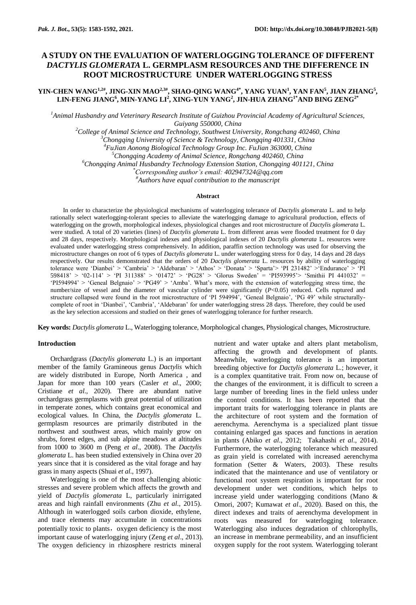# **A STUDY ON THE EVALUATION OF WATERLOGGING TOLERANCE OF DIFFERENT**  *DACTYLIS GLOMERATA* **L. GERMPLASM RESOURCES AND THE DIFFERENCE IN ROOT MICROSTRUCTURE UNDER WATERLOGGING STRESS**

# **YIN-CHEN WANG1,2#, JING-XIN MAO2,3#, SHAO-QING WANG4\*, YANG YUAN<sup>1</sup> , YAN FAN<sup>5</sup> , JIAN ZHANG<sup>5</sup> , LIN-FENG JIANG<sup>6</sup> , MIN-YANG LI<sup>2</sup> , XING-YUN YANG<sup>2</sup> , JIN-HUA ZHANG1\*AND BING ZENG2\***

*<sup>1</sup>Animal Husbandry and Veterinary Research Institute of Guizhou Provincial Academy of Agricultural Sciences, Guiyang 550000, China*

*<sup>2</sup>College of Animal Science and Technology, Southwest University, Rongchang 402460, China*

*<sup>3</sup>Chongqing University of Science & Technology, Chongqing 401331, China*

*<sup>4</sup>FuJian Aonong Biological Technology Group Inc. FuJian 363000, China*

*<sup>5</sup>Chongqing Academy of Animal Science, Rongchang 402460, China*

*<sup>6</sup>Chongqing Animal Husbandry Technology Extension Station, Chongqing 401121, China*

*\*Corresponding author's email: 402947324@qq.com*

*#Authors have equal contribution to the manuscript*

#### **Abstract**

In order to characterize the physiological mechanisms of waterlogging tolerance of *Dactylis glomerata* L. and to help rationally select waterlogging-tolerant species to alleviate the waterlogging damage to agricultural production, effects of waterlogging on the growth, morphological indexes, physiological changes and root microstructure of *Dactylis glomerata* L. were studied. A total of 20 varieties (lines) of *Dactylis glomerata* L. from different areas were flooded treatment for 0 day and 28 days, respectively. Morphological indexes and physiological indexes of 20 *Dactylis glomerata* L. resources were evaluated under waterlogging stress comprehensively. In addition, paraffin section technology was used for observing the microstructure changes on root of 6 types of *Dactylis glomerata* L. under waterlogging stress for 0 day, 14 days and 28 days respectively. Our results demonstrated that the orders of 20 *Dactylis glomerata* L. resources by ability of waterlogging tolerance were "Dianbei" > "Cambria" > "Aldebaran" > "Athos" > "Donata" > "Sparta"> "PI 231482" >"Endurance" > "PI 598418" > "02-114" > "PI 311388" > "01472" > "PG28" > "Glorus Sweden" = "PI593995"> "Smithii PI 441032" = "PI594994" > "Geneal Belgnaio" > "PG49" > "Amba". What"s more, with the extension of waterlogging stress time, the number/size of vessel and the diameter of vascular cylinder were significantly (*P*<0.05) reduced. Cells ruptured and structure collapsed were found in the root microstructure of "PI 594994", "Geneal Belgnaio", "PG 49" while structurallycomplete of root in 'Dianbei', 'Cambria', 'Aldebaran' for under waterlogging stress 28 days. Therefore, they could be used as the key selection accessions and studied on their genes of waterlogging tolerance for further research.

**Key words:** *Dactylis glomerata* L., Waterlogging tolerance, Morphological changes, Physiological changes, Microstructure.

## **Introduction**

Orchardgrass (*Dactylis glomerata* L.) is an important member of the family Gramineous genus *Dactylis* which are widely distributed in Europe, North America , and Japan for more than 100 years (Casler *et al*., 2000; Cristiane *et al*., 2020). There are abundant native orchardgrass germplasms with great potential of utilization in temperate zones, which contains great economical and ecological values. In China, the *Dactylis glomerata* L. germplasm resources are primarily distributed in the northwest and southwest areas, which mainly grow on shrubs, forest edges, and sub alpine meadows at altitudes from 1000 to 3600 m (Peng *et al*., 2008). The *Dactylis glomerata* L. has been studied extensively in China over 20 years since that it is considered as the vital forage and hay grass in many aspects (Shuai *et al*., 1997).

Waterlogging is one of the most challenging abiotic stresses and severe problem which affects the growth and yield of *Dactylis glomerata* L, particularly inirrigated areas and high rainfall environments (Zhu *et al*., 2015). Although in waterlogged soils carbon dioxide, ethylene, and trace elements may accumulate in concentrations potentially toxic to plants, oxygen deficiency is the most important cause of waterlogging injury (Zeng *et al*., 2013). The oxygen deficiency in rhizosphere restricts mineral

nutrient and water uptake and alters plant metabolism, affecting the growth and development of plants. Meanwhile, waterlogging tolerance is an important breeding objective for *Dactylis glomerata* L.; however, it is a complex quantitative trait. From now on, because of the changes of the environment, it is difficult to screen a large number of breeding lines in the field unless under the control conditions. It has been reported that the important traits for waterlogging tolerance in plants are the architecture of root system and the formation of aerenchyma. Aerenchyma is a specialized plant tissue containing enlarged gas spaces and functions in aeration in plants (Abiko *et al*., 2012; Takahashi *et al*., 2014). Furthermore, the waterlogging tolerance which measured as grain yield is correlated with increased aerenchyma formation (Setter & Waters, 2003). These results indicated that the maintenance and use of ventilatory or functional root system respiration is important for root development under wet conditions, which helps to increase yield under waterlogging conditions (Mano & Omori, 2007; Kumawat *et al*., 2020). Based on this, the direct indexes and traits of aerenchyma development in roots was measured for waterlogging tolerance. Waterlogging also induces degradation of chlorophylls, an increase in membrane permeability, and an insufficient oxygen supply for the root system. Waterlogging tolerant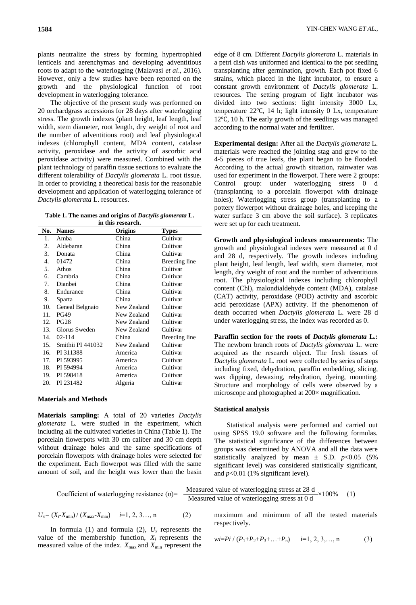plants neutralize the stress by forming hypertrophied lenticels and aerenchymas and developing adventitious roots to adapt to the waterlogging (Malavasi *et al*., 2016). However, only a few studies have been reported on the growth and the physiological function of root development in waterlogging tolerance.

The objective of the present study was performed on 20 orchardgrass accessions for 28 days after waterlogging stress. The growth indexes (plant height, leaf length, leaf width, stem diameter, root length, dry weight of root and the number of adventitious root) and leaf physiological indexes (chlorophyll content, MDA content, catalase activity, peroxidase and the activity of ascorbic acid peroxidase activity) were measured. Combined with the plant technology of paraffin tissue sections to evaluate the different tolerability of *Dactylis glomerata* L. root tissue. In order to providing a theoretical basis for the reasonable development and application of waterlogging tolerance of *Dactylis glomerata* L. resources.

**Table 1. The names and origins of** *Dactylis glomerata* **L. in this research.**

| No. | <b>Names</b>      | Origins     | <b>Types</b>  |
|-----|-------------------|-------------|---------------|
| 1.  | Amba              | China       | Cultivar      |
| 2.  | Aldebaran         | China       | Cultivar      |
| 3.  | Donata            | China       | Cultivar      |
| 4.  | 01472             | China       | Breeding line |
| 5.  | Athos             | China       | Cultivar      |
| 6.  | Cambria           | China       | Cultivar      |
| 7.  | Dianbei           | China       | Cultivar      |
| 8.  | Endurance         | China       | Cultivar      |
| 9.  | Sparta            | China       | Cultivar      |
| 10. | Geneal Belgnaio   | New Zealand | Cultivar      |
| 11. | <b>PG49</b>       | New Zealand | Cultivar      |
| 12. | <b>PG28</b>       | New Zealand | Cultivar      |
| 13. | Glorus Sweden     | New Zealand | Cultivar      |
| 14. | $02 - 114$        | China       | Breeding line |
| 15. | Smithii PI 441032 | New Zealand | Cultivar      |
| 16. | PI 311388         | America     | Cultivar      |
|     | 17. PI 593995     | America     | Cultivar      |
|     | 18. PI 594994     | America     | Cultivar      |
|     | 19. PI 598418     | America     | Cultivar      |
| 20. | PI 231482         | Algeria     | Cultivar      |

#### **Materials and Methods**

**Materials** s**ampling:** A total of 20 varieties *Dactylis glomerata* L. were studied in the experiment, which including all the cultivated varieties in China (Table 1). The porcelain flowerpots with 30 cm caliber and 30 cm depth without drainage holes and the same specifications of porcelain flowerpots with drainage holes were selected for the experiment. Each flowerpot was filled with the same amount of soil, and the height was lower than the basin edge of 8 cm. Different *Dactylis glomerata* L. materials in a petri dish was uniformed and identical to the pot seedling transplanting after germination, growth. Each pot fixed 6 strains, which placed in the light incubator, to ensure a constant growth environment of *Dactylis glomerata* L. resources. The setting program of light incubator was divided into two sections: light intensity 3000 Lx, temperature 22℃, 14 h; light intensity 0 Lx, temperature 12℃, 10 h. The early growth of the seedlings was managed according to the normal water and fertilizer.

**Experimental design:** After all the *Dactylis glomerata* L. materials were reached the jointing stag and grew to the 4-5 pieces of true leafs, the plant began to be flooded. According to the actual growth situation, rainwater was used for experiment in the flowerpot. There were 2 groups: Control group: under waterlogging stress 0 d (transplanting to a porcelain flowerpot with drainage holes); Waterlogging stress group (transplanting to a pottery flowerpot without drainage holes, and keeping the water surface 3 cm above the soil surface). 3 replicates were set up for each treatment.

**Growth and physiological indexes measurements:** The growth and physiological indexes were measured at 0 d and 28 d, respectively. The growth indexes including plant height, leaf length, leaf width, stem diameter, root length, dry weight of root and the number of adventitious root. The physiological indexes including chlorophyll content (Chl), malondialdehyde content (MDA), catalase (CAT) activity, peroxidase (POD) activity and ascorbic acid peroxidase (APX) activity. If the phenomenon of death occurred when *Dactylis glomerata* L. were 28 d under waterlogging stress, the index was recorded as 0.

**Paraffin section for the roots of** *Dactylis glomerata* **L.:**  The newborn branch roots of *Dactylis glomerata* L. were acquired as the research object. The fresh tissues of *Dactylis glomerata* L. root were collected by series of steps including fixed, dehydration, paraffin embedding, slicing, wax dipping, dewaxing, rehydration, dyeing, mounting. Structure and morphology of cells were observed by a microscope and photographed at 200× magnification.

#### **Statistical analysis**

Statistical analysis were performed and carried out using SPSS 19.0 software and the following formulas. The statistical significance of the differences between groups was determined by ANOVA and all the data were statistically analyzed by mean  $\pm$  S.D.  $p<0.05$  (5%) significant level) was considered statistically significant, and  $p<0.01$  (1% significant level).

Coefficient of waterlogging resistance (
$$
\alpha
$$
) =  $\frac{\text{Measurement of waterlogging stress at 28 d}}{\text{Measurement of waterlogging stress at 0 d}} \times 100\%$  (1)

$$
U_x = (X_i - X_{\min}) / (X_{\max} - X_{\min}) \quad i=1, 2, 3..., n
$$
 (2)

In formula (1) and formula (2),  $U_x$  represents the value of the membership function,  $X_i$  represents the measured value of the index.  $X_{\text{max}}$  and  $X_{\text{min}}$  represent the maximum and minimum of all the tested materials respectively.

$$
wi=Pi / (P_1 + P_2 + P_3 + ... + P_n) \qquad i=1, 2, 3, ..., n \tag{3}
$$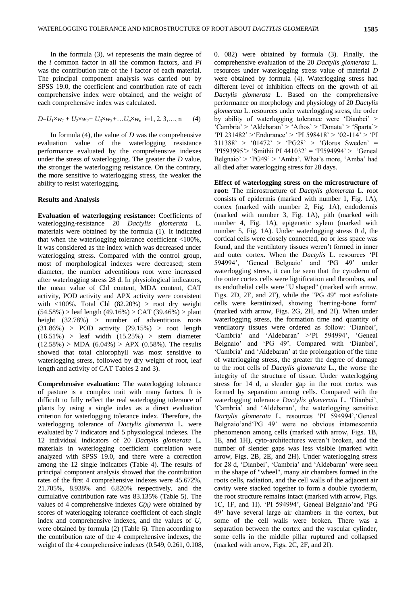In the formula (3), *wi* represents the main degree of the *i* common factor in all the common factors, and *Pi* was the contribution rate of the *i* factor of each material. The principal component analysis was carried out by SPSS 19.0, the coefficient and contribution rate of each comprehensive index were obtained, and the weight of each comprehensive index was calculated.

$$
D = U_1 \times w_1 + U_2 \times w_2 + U_3 \times w_3 + \dots U_n \times w_n \quad i = 1, 2, 3, \dots, n \tag{4}
$$

In formula (4), the value of *D* was the comprehensive evaluation value of the waterlogging resistance performance evaluated by the comprehensive indexes under the stress of waterlogging. The greater the *D* value, the stronger the waterlogging resistance. On the contrary, the more sensitive to waterlogging stress, the weaker the ability to resist waterlogging.

#### **Results and Analysis**

**Evaluation of waterlogging resistance:** Coefficients of waterlogging-resistance 20 *Dactylis glomerata* L. materials were obtained by the formula (1). It indicated that when the waterlogging tolerance coefficient <100%, it was considered as the index which was decreased under waterlogging stress. Compared with the control group, most of morphological indexes were decreased; stem diameter, the number adventitious root were increased after waterlogging stress 28 d. In physiological indicators, the mean value of Chl content, MDA content, CAT activity, POD activity and APX activity were consistent with  $\langle 100\% \rangle$ . Total Chl  $(82.20\%)$  > root dry weight  $(54.58%) >$  leaf length  $(49.16%) > CAT (39.46%) > plant$ height (32.78%) > number of adventitious roots  $(31.86%)$  > POD activity  $(29.15%)$  > root length  $(16.51\%)$  > leaf width  $(15.25\%)$  > stem diameter  $(12.58%) > MDA (6.04%) > APX (0.58%).$  The results showed that total chlorophyll was most sensitive to waterlogging stress, followed by dry weight of root, leaf length and activity of CAT Tables 2 and 3).

**Comprehensive evaluation:** The waterlogging tolerance of pasture is a complex trait with many factors. It is difficult to fully reflect the real waterlogging tolerance of plants by using a single index as a direct evaluation criterion for waterlogging tolerance index. Therefore, the waterlogging tolerance of *Dactylis glomerata* L. were evaluated by 7 indicators and 5 physiological indexes. The 12 individual indicators of 20 *Dactylis glomerata* L. materials in waterlogging coefficient correlation were analyzed with SPSS 19.0, and there were a correction among the 12 single indicators (Table 4). The results of principal component analysis showed that the contribution rates of the first 4 comprehensive indexes were 45.672%, 21.705%, 8.938% and 6.820% respectively, and the cumulative contribution rate was 83.135% (Table 5). The values of 4 comprehensive indexes  $C(x)$  were obtained by scores of waterlogging tolerance coefficient of each single index and comprehensive indexes, and the values of  $U_r$ were obtained by formula (2) (Table 6). Then according to the contribution rate of the 4 comprehensive indexes, the weight of the 4 comprehensive indexes (0.549, 0.261, 0.108,

0. 082) were obtained by formula (3). Finally, the comprehensive evaluation of the 20 *Dactylis glomerata* L. resources under waterlogging stress value of material *D* were obtained by formula (4). Waterlogging stress had different level of inhibition effects on the growth of all *Dactylis glomerata* L. Based on the comprehensive performance on morphology and physiology of 20 *Dactylis glomerata* L. resources under waterlogging stress, the order by ability of waterlogging tolerance were "Dianbei" > "Cambria" > "Aldebaran" > "Athos" > "Donata" > "Sparta"> "PI 231482" >"Endurance" > "PI 598418" > "02-114" > "PI 311388" > "01472" > "PG28" > "Glorus Sweden" =  $'PI593995'$  'Smithii PI 441032' = 'PI594994' > 'Geneal' Belgnaio' > 'PG49' > 'Amba'. What's more, 'Amba' had all died after waterlogging stress for 28 days.

**Effect of waterlogging stress on the microstructure of root:** The microstructure of *Dactylis glomerata* L. root consists of epidermis (marked with number 1, Fig. 1A), cortex (marked with number 2, Fig. 1A), endodermis (marked with number 3, Fig. 1A), pith (marked with number 4, Fig. 1A), epigenetic xylem (marked with number 5, Fig. 1A). Under waterlogging stress 0 d, the cortical cells were closely connected, no or less space was found, and the ventilatory tissues weren"t formed in inner and outer cortex. When the *Dactylis* L. resources "PI 594994', 'Geneal Belgnaio' and 'PG 49' under waterlogging stress, it can be seen that the cytoderm of the outer cortex cells were lignification and thrombus, and its endothelial cells were "U shaped" (marked with arrow, Figs. 2D, 2E, and 2F), while the "PG 49" root exfoliate cells were keratinized, showing "herring-bone form" (marked with arrow, Figs. 2G, 2H, and 2I). When under waterlogging stress, the formation time and quantity of ventilatory tissues were ordered as follow: 'Dianbei', 'Cambria' and 'Aldebaran' >'PI 594994', 'Geneal Belgnaio' and 'PG 49'. Compared with 'Dianbei', 'Cambria' and 'Aldebaran' at the prolongation of the time of waterlogging stress, the greater the degree of damage to the root cells of *Dactylis glomerata* L., the worse the integrity of the structure of tissue. Under waterlogging stress for 14 d, a slender gap in the root cortex was formed by separation among cells. Compared with the waterlogging tolerance *Dactylis glomerata* L. "Dianbei", 'Cambria' and 'Aldebaran', the waterlogging sensitive Dactylis glomerata L. resources 'PI 594994', 'Geneal Belgnaio"and"PG 49" were no obvious intamescentia phenomenon among cells (marked with arrow, Figs. 1B, 1E, and 1H), cyto-architectures weren"t broken, and the number of slender gaps was less visible (marked with arrow, Figs. 2B, 2E, and 2H). Under waterlogging stress for 28 d, 'Dianbei', 'Cambria' and 'Aldebaran' were seen in the shape of "wheel", many air chambers formed in the roots cells, radiation, and the cell walls of the adjacent air cavity were stacked together to form a double cytoderm, the root structure remains intact (marked with arrow, Figs. 1C, 1F, and 1I). "PI 594994", Geneal Belgnaio"and "PG 49" have several large air chambers in the cortex, but some of the cell walls were broken. There was a separation between the cortex and the vascular cylinder, some cells in the middle pillar ruptured and collapsed (marked with arrow, Figs. 2C, 2F, and 2I).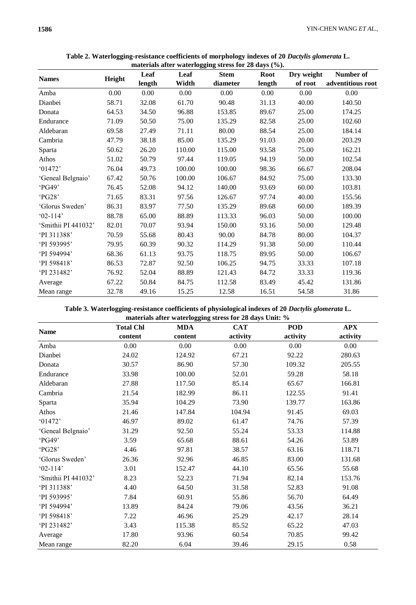|                     |        |        |        | $\frac{1}{20}$ hater and water logging stress for $\frac{2}{20}$ days (70). |             |            |                   |
|---------------------|--------|--------|--------|-----------------------------------------------------------------------------|-------------|------------|-------------------|
|                     |        | Leaf   | Leaf   | <b>Stem</b>                                                                 | <b>Root</b> | Dry weight | Number of         |
| <b>Names</b>        | Height | length | Width  | diameter                                                                    | length      | of root    | adventitious root |
| Amba                | 0.00   | 0.00   | 0.00   | 0.00                                                                        | 0.00        | 0.00       | 0.00              |
| Dianbei             | 58.71  | 32.08  | 61.70  | 90.48                                                                       | 31.13       | 40.00      | 140.50            |
| Donata              | 64.53  | 34.50  | 96.88  | 153.85                                                                      | 89.67       | 25.00      | 174.25            |
| Endurance           | 71.09  | 50.50  | 75.00  | 135.29                                                                      | 82.58       | 25.00      | 102.60            |
| Aldebaran           | 69.58  | 27.49  | 71.11  | 80.00                                                                       | 88.54       | 25.00      | 184.14            |
| Cambria             | 47.79  | 38.18  | 85.00  | 135.29                                                                      | 91.03       | 20.00      | 203.29            |
| Sparta              | 50.62  | 26.20  | 110.00 | 115.00                                                                      | 93.58       | 75.00      | 162.21            |
| Athos               | 51.02  | 50.79  | 97.44  | 119.05                                                                      | 94.19       | 50.00      | 102.54            |
| `01472'             | 76.04  | 49.73  | 100.00 | 100.00                                                                      | 98.36       | 66.67      | 208.04            |
| 'Geneal Belgnaio'   | 67.42  | 50.76  | 100.00 | 106.67                                                                      | 84.92       | 75.00      | 133.30            |
| 'PG49'              | 76.45  | 52.08  | 94.12  | 140.00                                                                      | 93.69       | 60.00      | 103.81            |
| 'PG28'              | 71.65  | 83.31  | 97.56  | 126.67                                                                      | 97.74       | 40.00      | 155.56            |
| 'Glorus Sweden'     | 86.31  | 83.97  | 77.50  | 135.29                                                                      | 89.68       | 60.00      | 189.39            |
| $'02-114'$          | 88.78  | 65.00  | 88.89  | 113.33                                                                      | 96.03       | 50.00      | 100.00            |
| 'Smithii PI 441032' | 82.01  | 70.07  | 93.94  | 150.00                                                                      | 93.16       | 50.00      | 129.48            |
| 'PI 311388'         | 70.59  | 55.68  | 80.43  | 90.00                                                                       | 84.78       | 80.00      | 104.37            |
| 'PI 593995'         | 79.95  | 60.39  | 90.32  | 114.29                                                                      | 91.38       | 50.00      | 110.44            |
| PI 594994'          | 68.36  | 61.13  | 93.75  | 118.75                                                                      | 89.95       | 50.00      | 106.67            |
| 'PI 598418'         | 86.53  | 72.87  | 92.50  | 106.25                                                                      | 94.75       | 33.33      | 107.18            |
| 'PI 231482'         | 76.92  | 52.04  | 88.89  | 121.43                                                                      | 84.72       | 33.33      | 119.36            |
| Average             | 67.22  | 50.84  | 84.75  | 112.58                                                                      | 83.49       | 45.42      | 131.86            |
| Mean range          | 32.78  | 49.16  | 15.25  | 12.58                                                                       | 16.51       | 54.58      | 31.86             |

**Table 2. Waterlogging-resistance coefficients of morphology indexes of 20** *Dactylis glomerata* **L. materials after waterlogging stress for 28 days (%).**

**Table 3. Waterlogging-resistance coefficients of physiological indexes of 20** *Dactylis glomerata* **L. materials after waterlogging stress for 28 days Unit: %**

|                     | <b>Total Chl</b> | -88<br><b>MDA</b> | <b>CAT</b> | <b>POD</b> | <b>APX</b> |
|---------------------|------------------|-------------------|------------|------------|------------|
| <b>Name</b>         | content          | content           | activity   | activity   | activity   |
| Amba                | 0.00             | 0.00              | 0.00       | 0.00       | 0.00       |
| Dianbei             | 24.02            | 124.92            | 67.21      | 92.22      | 280.63     |
| Donata              | 30.57            | 86.90             | 57.30      | 109.32     | 205.55     |
| Endurance           | 33.98            | 100.00            | 52.01      | 59.28      | 58.18      |
| Aldebaran           | 27.88            | 117.50            | 85.14      | 65.67      | 166.81     |
| Cambria             | 21.54            | 182.99            | 86.11      | 122.55     | 91.41      |
| Sparta              | 35.94            | 104.29            | 73.90      | 139.77     | 163.86     |
| Athos               | 21.46            | 147.84            | 104.94     | 91.45      | 69.03      |
| 01472               | 46.97            | 89.02             | 61.47      | 74.76      | 57.39      |
| 'Geneal Belgnaio'   | 31.29            | 92.50             | 55.24      | 53.33      | 114.88     |
| 'PG49'              | 3.59             | 65.68             | 88.61      | 54.26      | 53.89      |
| 'PG28'              | 4.46             | 97.81             | 38.57      | 63.16      | 118.71     |
| 'Glorus Sweden'     | 26.36            | 92.96             | 46.85      | 83.00      | 131.68     |
| $02 - 114'$         | 3.01             | 152.47            | 44.10      | 65.56      | 55.68      |
| 'Smithii PI 441032' | 8.23             | 52.23             | 71.94      | 82.14      | 153.76     |
| 'PI 311388'         | 4.40             | 64.50             | 31.58      | 52.83      | 91.08      |
| 'PI 593995'         | 7.84             | 60.91             | 55.86      | 56.70      | 64.49      |
| 'PI 594994'         | 13.89            | 84.24             | 79.06      | 43.56      | 36.21      |
| 'PI 598418'         | 7.22             | 46.96             | 25.29      | 42.17      | 28.14      |
| 'PI 231482'         | 3.43             | 115.38            | 85.52      | 65.22      | 47.03      |
| Average             | 17.80            | 93.96             | 60.54      | 70.85      | 99.42      |
| Mean range          | 82.20            | 6.04              | 39.46      | 29.15      | 0.58       |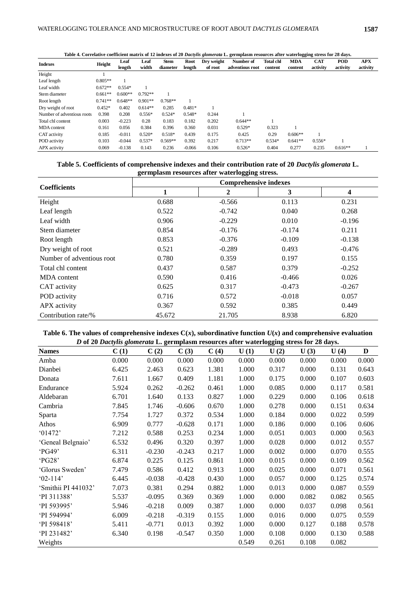| Table 4. Correlative coefficient matrix of 12 indexes of 20 Dactylis glomerata L. germplasm resources after waterlogging stress for 28 days. |           |                |               |                         |                |                       |                              |                             |                       |                        |                        |                        |
|----------------------------------------------------------------------------------------------------------------------------------------------|-----------|----------------|---------------|-------------------------|----------------|-----------------------|------------------------------|-----------------------------|-----------------------|------------------------|------------------------|------------------------|
| <b>Indexes</b>                                                                                                                               | Height    | Leaf<br>length | Leaf<br>width | <b>Stem</b><br>diameter | Root<br>length | Dry weight<br>of root | Number of<br>adventious root | <b>Total chl</b><br>content | <b>MDA</b><br>content | <b>CAT</b><br>activity | <b>POD</b><br>activity | <b>APX</b><br>activity |
| Height                                                                                                                                       |           |                |               |                         |                |                       |                              |                             |                       |                        |                        |                        |
| Leaf length                                                                                                                                  | $0.805**$ |                |               |                         |                |                       |                              |                             |                       |                        |                        |                        |
| Leaf width                                                                                                                                   | $0.672**$ | $0.554*$       |               |                         |                |                       |                              |                             |                       |                        |                        |                        |
| Stem diameter                                                                                                                                | $0.661**$ | $0.600**$      | $0.792**$     |                         |                |                       |                              |                             |                       |                        |                        |                        |
| Root length                                                                                                                                  | $0.741**$ | $0.648**$      | $0.901**$     | $0.768**$               |                |                       |                              |                             |                       |                        |                        |                        |
| Dry weight of root                                                                                                                           | $0.452*$  | 0.402          | $0.614**$     | 0.285                   | $0.481*$       |                       |                              |                             |                       |                        |                        |                        |
| Number of adventious roots                                                                                                                   | 0.398     | 0.208          | $0.556*$      | $0.524*$                | $0.548*$       | 0.244                 |                              |                             |                       |                        |                        |                        |
| Total chl content                                                                                                                            | 0.003     | $-0.223$       | 0.28          | 0.183                   | 0.182          | 0.202                 | $0.644**$                    |                             |                       |                        |                        |                        |
| MDA content                                                                                                                                  | 0.161     | 0.056          | 0.384         | 0.396                   | 0.360          | 0.031                 | $0.529*$                     | 0.323                       |                       |                        |                        |                        |
| CAT activity                                                                                                                                 | 0.185     | $-0.011$       | $0.520*$      | $0.518*$                | 0.439          | 0.175                 | 0.425                        | 0.29                        | $0.606**$             |                        |                        |                        |
| POD activity                                                                                                                                 | 0.103     | $-0.044$       | $0.537*$      | $0.569**$               | 0.392          | 0.217                 | $0.713**$                    | $0.534*$                    | $0.641**$             | $0.556*$               |                        |                        |
| APX activity                                                                                                                                 | 0.069     | $-0.138$       | 0.143         | 0.236                   | $-0.066$       | 0.106                 | $0.526*$                     | 0.404                       | 0.277                 | 0.235                  | $0.616**$              |                        |

**Table 5. Coefficients of comprehensive indexes and their contribution rate of 20** *Dactylis glomerata* **L. germplasm resources after waterlogging stress.**

| <b>Coefficients</b>       | <b>Comprehensive indexes</b> |          |          |                         |  |  |  |
|---------------------------|------------------------------|----------|----------|-------------------------|--|--|--|
|                           |                              | 2        | 3        | $\overline{\mathbf{4}}$ |  |  |  |
| Height                    | 0.688                        | $-0.566$ | 0.113    | 0.231                   |  |  |  |
| Leaf length               | 0.522                        | $-0.742$ | 0.040    | 0.268                   |  |  |  |
| Leaf width                | 0.906                        | $-0.229$ | 0.010    | $-0.196$                |  |  |  |
| Stem diameter             | 0.854                        | $-0.176$ | $-0.174$ | 0.211                   |  |  |  |
| Root length               | 0.853                        | $-0.376$ | $-0.109$ | $-0.138$                |  |  |  |
| Dry weight of root        | 0.521                        | $-0.289$ | 0.493    | $-0.476$                |  |  |  |
| Number of adventious root | 0.780                        | 0.359    | 0.197    | 0.155                   |  |  |  |
| Total chl content         | 0.437                        | 0.587    | 0.379    | $-0.252$                |  |  |  |
| MDA content               | 0.590                        | 0.416    | $-0.466$ | 0.026                   |  |  |  |
| CAT activity              | 0.625                        | 0.317    | $-0.473$ | $-0.267$                |  |  |  |
| POD activity              | 0.716                        | 0.572    | $-0.018$ | 0.057                   |  |  |  |
| APX activity              | 0.367                        | 0.592    | 0.385    | 0.449                   |  |  |  |
| Contribution rate/%       | 45.672                       | 21.705   | 8.938    | 6.820                   |  |  |  |

Table 6. The values of comprehensive indexes  $C(x)$ , subordinative function  $U(x)$  and comprehensive evaluation *D* **of 20** *Dactylis glomerata* **L. germplasm resources after waterlogging stress for 28 days.**

| <i>D</i> of <i>zo Dactyus giomerata</i> L. germpiasm resources after waterlogging stress for <i>z</i> o days. |       |          |          |       |       |       |       |       |       |
|---------------------------------------------------------------------------------------------------------------|-------|----------|----------|-------|-------|-------|-------|-------|-------|
| <b>Names</b>                                                                                                  | C(1)  | C(2)     | C(3)     | C(4)  | U(1)  | U(2)  | U(3)  | U(4)  | D     |
| Amba                                                                                                          | 0.000 | 0.000    | 0.000    | 0.000 | 0.000 | 0.000 | 0.000 | 0.000 | 0.000 |
| Dianbei                                                                                                       | 6.425 | 2.463    | 0.623    | 1.381 | 1.000 | 0.317 | 0.000 | 0.131 | 0.643 |
| Donata                                                                                                        | 7.611 | 1.667    | 0.409    | 1.181 | 1.000 | 0.175 | 0.000 | 0.107 | 0.603 |
| Endurance                                                                                                     | 5.924 | 0.262    | $-0.262$ | 0.461 | 1.000 | 0.085 | 0.000 | 0.117 | 0.581 |
| Aldebaran                                                                                                     | 6.701 | 1.640    | 0.133    | 0.827 | 1.000 | 0.229 | 0.000 | 0.106 | 0.618 |
| Cambria                                                                                                       | 7.845 | 1.746    | $-0.606$ | 0.670 | 1.000 | 0.278 | 0.000 | 0.151 | 0.634 |
| Sparta                                                                                                        | 7.754 | 1.727    | 0.372    | 0.534 | 1.000 | 0.184 | 0.000 | 0.022 | 0.599 |
| Athos                                                                                                         | 6.909 | 0.777    | $-0.628$ | 0.171 | 1.000 | 0.186 | 0.000 | 0.106 | 0.606 |
| 01472'                                                                                                        | 7.212 | 0.588    | 0.253    | 0.234 | 1.000 | 0.051 | 0.003 | 0.000 | 0.563 |
| 'Geneal Belgnaio'                                                                                             | 6.532 | 0.496    | 0.320    | 0.397 | 1.000 | 0.028 | 0.000 | 0.012 | 0.557 |
| 'PG49'                                                                                                        | 6.311 | $-0.230$ | $-0.243$ | 0.217 | 1.000 | 0.002 | 0.000 | 0.070 | 0.555 |
| 'PG28'                                                                                                        | 6.874 | 0.225    | 0.125    | 0.861 | 1.000 | 0.015 | 0.000 | 0.109 | 0.562 |
| 'Glorus Sweden'                                                                                               | 7.479 | 0.586    | 0.412    | 0.913 | 1.000 | 0.025 | 0.000 | 0.071 | 0.561 |
| $02 - 114'$                                                                                                   | 6.445 | $-0.038$ | $-0.428$ | 0.430 | 1.000 | 0.057 | 0.000 | 0.125 | 0.574 |
| 'Smithii PI 441032'                                                                                           | 7.073 | 0.381    | 0.294    | 0.882 | 1.000 | 0.013 | 0.000 | 0.087 | 0.559 |
| 'PI 311388'                                                                                                   | 5.537 | $-0.095$ | 0.369    | 0.369 | 1.000 | 0.000 | 0.082 | 0.082 | 0.565 |
| 'PI 593995'                                                                                                   | 5.946 | $-0.218$ | 0.009    | 0.387 | 1.000 | 0.000 | 0.037 | 0.098 | 0.561 |
| 'PI 594994'                                                                                                   | 6.009 | $-0.218$ | $-0.319$ | 0.155 | 1.000 | 0.016 | 0.000 | 0.075 | 0.559 |
| 'PI 598418'                                                                                                   | 5.411 | $-0.771$ | 0.013    | 0.392 | 1.000 | 0.000 | 0.127 | 0.188 | 0.578 |
| 'PI 231482'                                                                                                   | 6.340 | 0.198    | $-0.547$ | 0.350 | 1.000 | 0.108 | 0.000 | 0.130 | 0.588 |
| Weights                                                                                                       |       |          |          |       | 0.549 | 0.261 | 0.108 | 0.082 |       |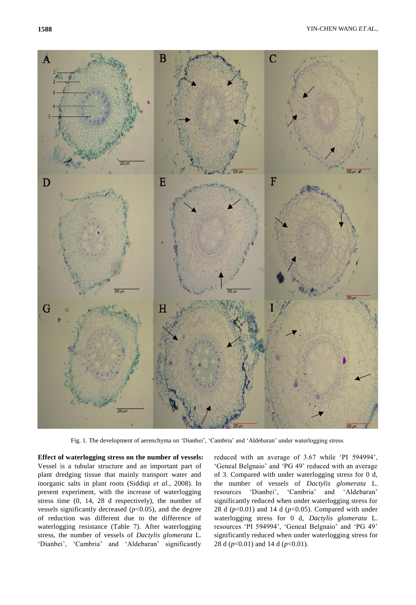

Fig. 1. The development of aerenchyma on "Dianbei", "Cambria" and "Aldebaran" under waterlogging stress.

**Effect of waterlogging stress on the number of vessels:**  Vessel is a tubular structure and an important part of plant dredging tissue that mainly transport water and inorganic salts in plant roots (Siddiqi *et al.*, 2008). In present experiment, with the increase of waterlogging stress time (0, 14, 28 d respectively), the number of vessels significantly decreased  $(p<0.05)$ , and the degree of reduction was different due to the difference of waterlogging resistance (Table 7). After waterlogging stress, the number of vessels of *Dactylis glomerata* L. 'Dianbei', 'Cambria' and 'Aldebaran' significantly

reduced with an average of 3.67 while "PI 594994", 'Geneal Belgnaio' and 'PG 49' reduced with an average of 3. Compared with under waterlogging stress for 0 d, the number of vessels of *Dactylis glomerata* L. resources 'Dianbei', 'Cambria' and 'Aldebaran' significantly reduced when under waterlogging stress for 28 d (*p*<0.01) and 14 d (*p*<0.05). Compared with under waterlogging stress for 0 d, *Dactylis glomerata* L. resources 'PI 594994', 'Geneal Belgnaio' and 'PG 49' significantly reduced when under waterlogging stress for 28 d (*p*<0.01) and 14 d (*p*<0.01).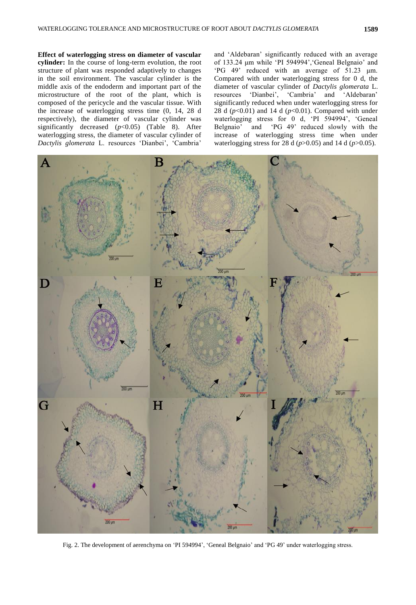**Effect of waterlogging stress on diameter of vascular cylinder:** In the course of long-term evolution, the root structure of plant was responded adaptively to changes in the soil environment. The vascular cylinder is the middle axis of the endoderm and important part of the microstructure of the root of the plant, which is composed of the pericycle and the vascular tissue. With the increase of waterlogging stress time (0, 14, 28 d respectively), the diameter of vascular cylinder was significantly decreased (*p*<0.05) (Table 8). After waterlogging stress, the diameter of vascular cylinder of *Dactylis glomerata* L. resources "Dianbei", "Cambria"

and "Aldebaran" significantly reduced with an average of 133.24 μm while 'PI 594994', 'Geneal Belgnaio' and "PG 49" reduced with an average of 51.23 μm. Compared with under waterlogging stress for 0 d, the diameter of vascular cylinder of *Dactylis glomerata* L. resources 'Dianbei', 'Cambria' and 'Aldebaran' significantly reduced when under waterlogging stress for 28 d  $(p<0.01)$  and 14 d  $(p<0.01)$ . Compared with under waterlogging stress for 0 d, 'PI 594994', 'Geneal Belgnaio' and 'PG 49' reduced slowly with the increase of waterlogging stress time when under waterlogging stress for 28 d (*p*>0.05) and 14 d (*p*>0.05).



Fig. 2. The development of aerenchyma on "PI 594994", "Geneal Belgnaio" and "PG 49" under waterlogging stress.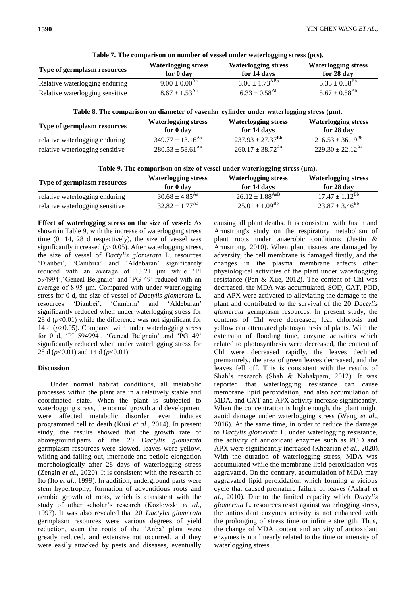| Table 7. The comparison on number of vessel under waterlogging stress (pcs). |                                                                                                |                                           |                                          |  |  |  |  |  |
|------------------------------------------------------------------------------|------------------------------------------------------------------------------------------------|-------------------------------------------|------------------------------------------|--|--|--|--|--|
| Type of germplasm resources                                                  | <b>Waterlogging stress</b><br>for 0 day                                                        | <b>Waterlogging stress</b><br>for 14 days | <b>Waterlogging stress</b><br>for 28 day |  |  |  |  |  |
| Relative waterlogging enduring                                               | $9.00 \pm 0.00^{Aa}$                                                                           | $6.00 \pm 1.73^{\text{ABB}}$              | $5.33 \pm 0.58$ <sup>Bb</sup>            |  |  |  |  |  |
| Relative waterlogging sensitive                                              | $8.67 \pm 1.53^{\text{Aa}}$                                                                    | $6.33 \pm 0.58^{Ab}$                      | $5.67 \pm 0.58$ <sup>Ab</sup>            |  |  |  |  |  |
|                                                                              | Table 8. The comparison on diameter of vascular cylinder under waterlogging stress $(\mu m)$ . |                                           |                                          |  |  |  |  |  |
| Type of germplasm resources                                                  | <b>Waterlogging stress</b><br>for 0 day                                                        | <b>Waterlogging stress</b><br>for 14 days | <b>Waterlogging stress</b><br>for 28 day |  |  |  |  |  |
| relative waterlogging enduring                                               | $349.77 \pm 13.16$ <sup>Aa</sup>                                                               | $237.93 \pm 27.37^{Bb}$                   | $216.53 \pm 36.19^{Bb}$                  |  |  |  |  |  |
| relative waterlogging sensitive                                              | $280.53 \pm 58.61$ <sup>Aa</sup>                                                               | $260.17 \pm 38.72$ <sup>Aa</sup>          | $229.30 \pm 22.12^{Aa}$                  |  |  |  |  |  |

| Table 7. The comparison on number of vessel under waterlogging stress (pcs). |  |  |  |  |  |  |
|------------------------------------------------------------------------------|--|--|--|--|--|--|
|------------------------------------------------------------------------------|--|--|--|--|--|--|

| Table 9. The comparison on size of vessel under waterlogging stress $(\mu m)$ . |                                |                                 |                            |  |  |  |  |  |
|---------------------------------------------------------------------------------|--------------------------------|---------------------------------|----------------------------|--|--|--|--|--|
| Type of germplasm resources                                                     | <b>Waterlogging stress</b>     | <b>Waterlogging stress</b>      | <b>Waterlogging stress</b> |  |  |  |  |  |
|                                                                                 | for 0 day                      | for 14 days                     | for 28 day                 |  |  |  |  |  |
| relative waterlogging enduring                                                  | $30.68 \pm 4.85$ <sup>Aa</sup> | $26.12 \pm 1.88^{\mathrm{AaB}}$ | $17.47 \pm 1.12^{Bb}$      |  |  |  |  |  |
| relative waterlogging sensitive                                                 | $32.82 \pm 1.77$ <sup>Aa</sup> | $25.01 \pm 1.09^{\rm Bb}$       | $23.87 \pm 3.46^{\rm Bb}$  |  |  |  |  |  |
|                                                                                 |                                |                                 |                            |  |  |  |  |  |

**Effect of waterlogging stress on the size of vessel:** As shown in Table 9, with the increase of waterlogging stress time (0, 14, 28 d respectively), the size of vessel was significantly increased (*p*<0.05). After waterlogging stress, the size of vessel of *Dactylis glomerata* L. resources 'Dianbei', 'Cambria' and 'Aldebaran' significantly reduced with an average of 13.21 μm while "PI 594994', 'Geneal Belgnaio' and 'PG 49' reduced with an average of 8.95 μm. Compared with under waterlogging stress for 0 d, the size of vessel of *Dactylis glomerata* L. resources 'Dianbei', 'Cambria' and 'Aldebaran' significantly reduced when under waterlogging stress for 28 d  $(p<0.01)$  while the difference was not significant for 14 d (*p*>0.05). Compared with under waterlogging stress for 0 d, "PI 594994", "Geneal Belgnaio" and "PG 49" significantly reduced when under waterlogging stress for 28 d (*p*<0.01) and 14 d (*p*<0.01).

## **Discussion**

Under normal habitat conditions, all metabolic processes within the plant are in a relatively stable and coordinated state. When the plant is subjected to waterlogging stress, the normal growth and development were affected metabolic disorder, even induces programmed cell to death (Kuai *et al*., 2014). In present study, the results showed that the growth rate of aboveground parts of the 20 *Dactylis glomerata*  germplasm resources were slowed, leaves were yellow, wilting and falling out, internode and petiole elongation morphologically after 28 days of waterlogging stress (Zengin *et al*., 2020). It is consistent with the research of Ito (Ito *et al*., 1999). In addition, underground parts were stem hypertrophy, formation of adventitious roots and aerobic growth of roots, which is consistent with the study of other scholar"s research (Kozlowski *et al*., 1997). It was also revealed that 20 *Dactylis glomerata* germplasm resources were various degrees of yield reduction, even the roots of the "Anba" plant were greatly reduced, and extensive rot occurred, and they were easily attacked by pests and diseases, eventually

causing all plant deaths. It is consistent with Justin and Armstrong's study on the respiratory metabolism of plant roots under anaerobic conditions (Justin & Armstrong, 2010). When plant tissues are damaged by adversity, the cell membrane is damaged firstly, and the changes in the plasma membrane affects other physiological activities of the plant under waterlogging resistance (Pan & Xue, 2012). The content of Chl was decreased, the MDA was accumulated, SOD, CAT, POD, and APX were activated to alleviating the damage to the plant and contributed to the survival of the 20 *Dactylis glomerata* germplasm resources. In present study, the contents of Chl were decreased, leaf chlorosis and yellow can attenuated photosynthesis of plants. With the extension of flooding time, enzyme activities which related to photosynthesis were decreased, the content of Chl were decreased rapidly, the leaves declined prematurely, the area of green leaves decreased, and the leaves fell off. This is consistent with the results of Shah"s research (Shah & Nahakpam, 2012). It was reported that waterlogging resistance can cause membrane lipid peroxidation, and also accumulation of MDA, and CAT and APX activity increase significantly. When the concentration is high enough, the plant might avoid damage under waterlogging stress (Wang *et al*., 2016). At the same time, in order to reduce the damage to *Dactylis glomerata* L*.* under waterlogging resistance, the activity of antioxidant enzymes such as POD and APX were significantly increased (Khezrian *et al*., 2020)*.* With the duration of waterlogging stress, MDA was accumulated while the membrane lipid peroxidation was aggravated. On the contrary, accumulation of MDA may aggravated lipid peroxidation which forming a vicious cycle that caused premature failure of leaves (Ashraf *et al*., 2010). Due to the limited capacity which *Dactylis glomerata* L*.* resources resist against waterlogging stress, the antioxidant enzymes activity is not enhanced with the prolonging of stress time or infinite strength. Thus, the change of MDA content and activity of antioxidant enzymes is not linearly related to the time or intensity of waterlogging stress.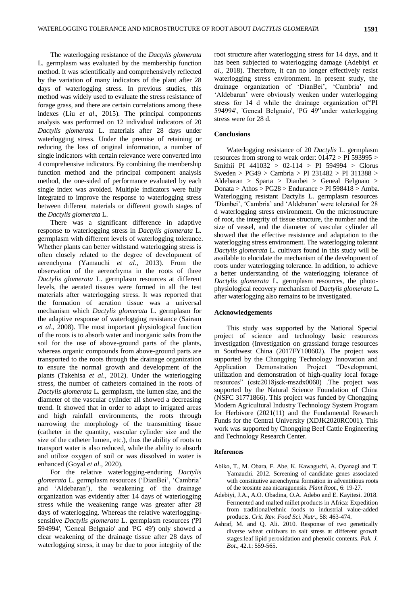The waterlogging resistance of the *Dactylis glomerata* L. germplasm was evaluated by the membership function method. It was scientifically and comprehensively reflected by the variation of many indicators of the plant after 28 days of waterlogging stress. In previous studies, this method was widely used to evaluate the stress resistance of forage grass, and there are certain correlations among these indexes (Liu *et al*., 2015). The principal components analysis was performed on 12 individual indicators of 20 *Dactylis glomerata* L. materials after 28 days under waterlogging stress. Under the premise of retaining or reducing the loss of original information, a number of single indicators with certain relevance were converted into 4 comprehensive indicators. By combining the membership function method and the principal component analysis method, the one-sided of performance evaluated by each single index was avoided. Multiple indicators were fully integrated to improve the response to waterlogging stress between different materials or different growth stages of the *Dactylis glomerata* L.

There was a significant difference in adaptive response to waterlogging stress in *Dactylis glomerata* L. germplasm with different levels of waterlogging tolerance. Whether plants can better withstand waterlogging stress is often closely related to the degree of development of aerenchyma (Yamauchi *et al*., 2013). From the observation of the aerenchyma in the roots of three *Dactylis glomerata* L. germplasm resources at different levels, the aerated tissues were formed in all the test materials after waterlogging stress. It was reported that the formation of aeration tissue was a universal mechanism which *Dactylis glomerata* L. germplasm for the adaptive response of waterlogging resistance (Sairam *et al*., 2008). The most important physiological function of the roots is to absorb water and inorganic salts from the soil for the use of above-ground parts of the plants, whereas organic compounds from above-ground parts are transported to the roots through the drainage organization to ensure the normal growth and development of the plants (Takehisa *et al*., 2012). Under the waterlogging stress, the number of catheters contained in the roots of *Dactylis glomerata* L. germplasm, the lumen size, and the diameter of the vascular cylinder all showed a decreasing trend. It showed that in order to adapt to irrigated areas and high rainfall environments, the roots through narrowing the morphology of the transmitting tissue (catheter in the quantity, vascular cylinder size and the size of the catheter lumen, etc.), thus the ability of roots to transport water is also reduced, while the ability to absorb and utilize oxygen of soil or was dissolved in water is enhanced (Goyal *et al*., 2020).

For the relative waterlogging-enduring *Dactylis glomerata* L. germplasm resources ("DianBei", "Cambria" and "Aldebaran"), the weakening of the drainage organization was evidently after 14 days of waterlogging stress while the weakening range was greater after 28 days of waterlogging. Whereas the relative waterloggingsensitive *Dactylis glomerata* L. germplasm resources ('PI 594994', 'Geneal Belgnaio' and 'PG 49') only showed a clear weakening of the drainage tissue after 28 days of waterlogging stress, it may be due to poor integrity of the root structure after waterlogging stress for 14 days, and it has been subjected to waterlogging damage (Adebiyi *et al*., 2018). Therefore, it can no longer effectively resist waterlogging stress environment. In present study, the drainage organization of "DianBei", "Cambria" and 'Aldebaran' were obviously weaken under waterlogging stress for 14 d while the drainage organization of"'PI 594994', 'Geneal Belgnaio', 'PG 49'"under waterlogging stress were for 28 d.

#### **Conclusions**

Waterlogging resistance of 20 *Dactylis* L. germplasm resources from strong to weak order: 01472 > PI 593995 > Smithii PI 441032 > 02-114 > PI 594994 > Glorus Sweden > PG49 > Cambria > PI 231482 > PI 311388 > Aldebaran > Sparta > Dianbei > Geneal Belgnaio > Donata > Athos > PG28 > Endurance > PI 598418 > Amba. Waterlogging resistant Dactylis L. germplasm resources 'Dianbei', 'Cambria' and 'Aldebaran' were tolerated for 28 d waterlogging stress environment. On the microstructure of root, the integrity of tissue structure, the number and the size of vessel, and the diameter of vascular cylinder all showed that the effective resistance and adaptation to the waterlogging stress environment. The waterlogging tolerant *Dactylis glomerata* L. cultivars found in this study will be available to elucidate the mechanism of the development of roots under waterlogging tolerance. In addition, to achieve a better understanding of the waterlogging tolerance of *Dactylis glomerata* L. germplasm resources, the photophysiological recovery mechanism of *Dactylis glomerata* L. after waterlogging also remains to be investigated.

#### **Acknowledgements**

This study was supported by the National Special project of science and technology basic resources investigation (Investigation on grassland forage resources in Southwest China (2017FY100602). The project was supported by the Chongqing Technology Innovation and Application Demonstration Project "Development, utilization and demonstration of high-quality local forage resources" (cstc2018jsck-mszdx0060) .The project was supported by the Natural Science Foundation of China (NSFC 31771866). This project was funded by Chongqing Modern Agricultural Industry Technology System Program for Herbivore (2021(11) and the Fundamental Research Funds for the Central University (XDJK2020RC001). This work was supported by Chongqing Beef Cattle Engineering and Technology Research Center.

#### **References**

- Abiko, T., M. Obara, F. Abe, K. Kawaguchi, A. Oyanagi and T. Yamauchi. 2012. Screening of candidate genes associated with constitutive aerenchyma formation in adventitious roots of the teosinte zea nicaraguensis. *Plant Root.,* 6: 19-27.
- Adebiyi, J.A., A.O. Obadina, O.A. Adebo and E. Kayitesi. 2018. Fermented and malted millet products in Africa: Expedition from traditional/ethnic foods to industrial value-added products. *Crit. Rev. Food Sci. Nutr.,* 58: 463-474.
- Ashraf, M. and Q. Ali. 2010. Response of two genetically diverse wheat cultivars to salt stress at different growth stages:leaf lipid peroxidation and phenolic contents. *Pak. J. Bot*., 42.1: 559-565.